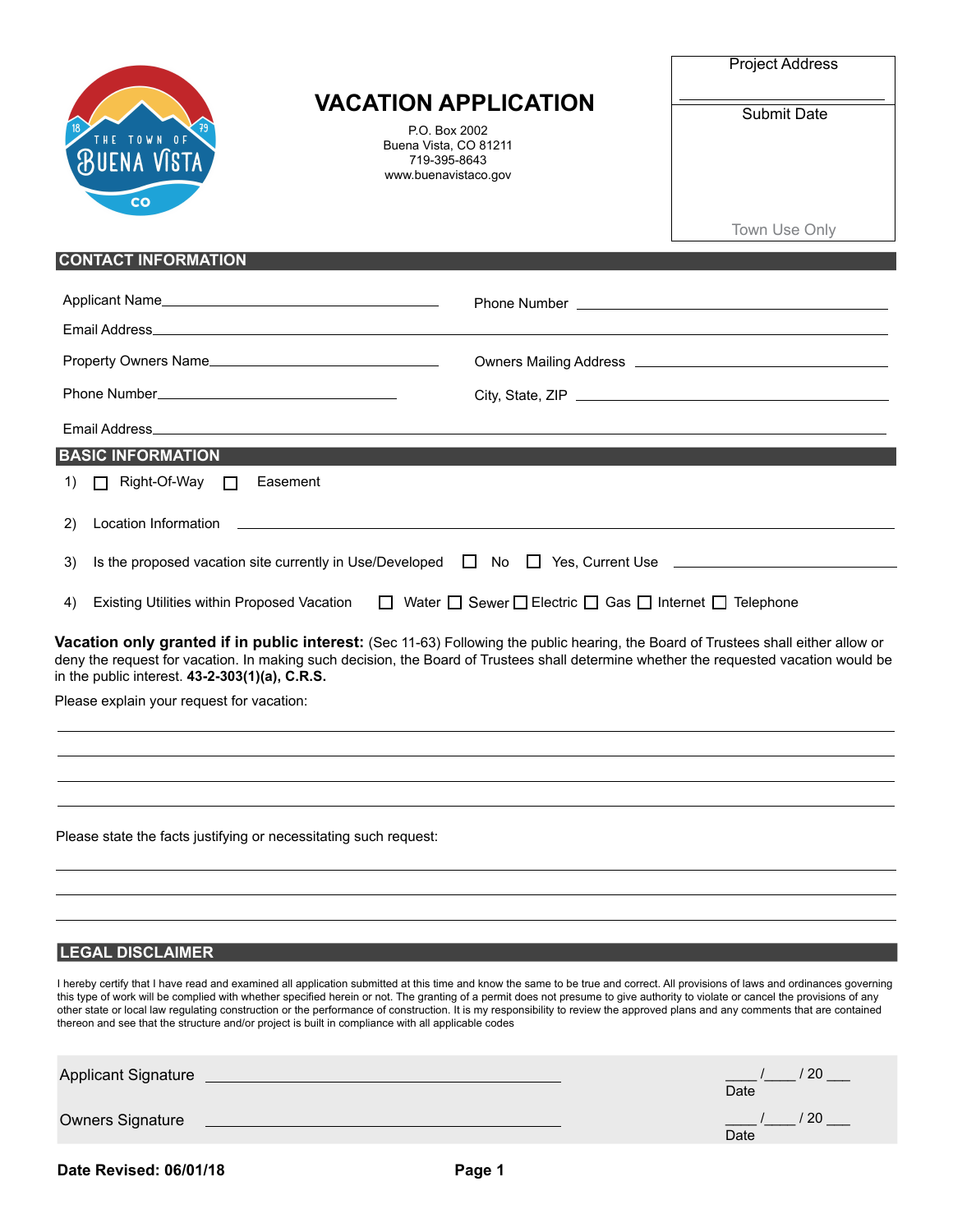

## **VACATION APPLICATION**

P.O. Box 2002 Buena Vista, CO 81211 719-395-8643 www.buenavistaco.gov

| Project Address |  |  |
|-----------------|--|--|
|-----------------|--|--|

Submit Date

Town Use Only

## **CONTACT INFORMATION**

| Applicant Name                                                                                                                          | Phone Number <b>Example 20</b> Phone Number                                                                                                                                                                                                                                 |
|-----------------------------------------------------------------------------------------------------------------------------------------|-----------------------------------------------------------------------------------------------------------------------------------------------------------------------------------------------------------------------------------------------------------------------------|
| Email Address <b>Email Address</b>                                                                                                      |                                                                                                                                                                                                                                                                             |
| Property Owners Name                                                                                                                    |                                                                                                                                                                                                                                                                             |
|                                                                                                                                         |                                                                                                                                                                                                                                                                             |
|                                                                                                                                         |                                                                                                                                                                                                                                                                             |
| <b>BASIC INFORMATION</b>                                                                                                                |                                                                                                                                                                                                                                                                             |
| $\Box$ Right-Of-Way $\Box$<br>Easement<br>1)                                                                                            |                                                                                                                                                                                                                                                                             |
| Location Information<br>2)<br><u> 1989 - Johann Stoff, amerikansk politiker (* 1908)</u>                                                |                                                                                                                                                                                                                                                                             |
| 3)                                                                                                                                      | Is the proposed vacation site currently in Use/Developed $\Box$ No $\Box$ Yes, Current Use $\Box$                                                                                                                                                                           |
| Existing Utilities within Proposed Vacation $\Box$ Water $\Box$ Sewer $\Box$ Electric $\Box$ Gas $\Box$ Internet $\Box$ Telephone<br>4) |                                                                                                                                                                                                                                                                             |
| in the public interest. 43-2-303(1)(a), C.R.S.                                                                                          | Vacation only granted if in public interest: (Sec 11-63) Following the public hearing, the Board of Trustees shall either allow or<br>deny the request for vacation. In making such decision, the Board of Trustees shall determine whether the requested vacation would be |
|                                                                                                                                         |                                                                                                                                                                                                                                                                             |
| Please explain your request for vacation:                                                                                               |                                                                                                                                                                                                                                                                             |
|                                                                                                                                         |                                                                                                                                                                                                                                                                             |
|                                                                                                                                         |                                                                                                                                                                                                                                                                             |
|                                                                                                                                         |                                                                                                                                                                                                                                                                             |
| Please state the facts justifying or necessitating such request:                                                                        |                                                                                                                                                                                                                                                                             |
|                                                                                                                                         |                                                                                                                                                                                                                                                                             |
|                                                                                                                                         |                                                                                                                                                                                                                                                                             |
|                                                                                                                                         |                                                                                                                                                                                                                                                                             |
| <b>LEGAL DISCLAIMER</b>                                                                                                                 |                                                                                                                                                                                                                                                                             |

I hereby certify that I have read and examined all application submitted at this time and know the same to be true and correct. All provisions of laws and ordinances governing this type of work will be complied with whether specified herein or not. The granting of a permit does not presume to give authority to violate or cancel the provisions of any other state or local law regulating construction or the performance of construction. It is my responsibility to review the approved plans and any comments that are contained thereon and see that the structure and/or project is built in compliance with all applicable codes

| <b>Applicant Signature</b> | 20<br>Date |
|----------------------------|------------|
| <b>Owners Signature</b>    | 20<br>Date |